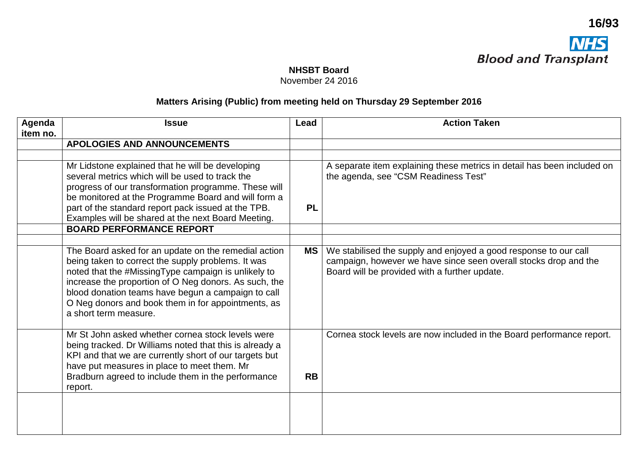

November 24 2016

## **Matters Arising (Public) from meeting held on Thursday 29 September 2016**

| Agenda<br>item no. | <b>Issue</b>                                                                                                                                                                                                                                                                                                                                                    | Lead      | <b>Action Taken</b>                                                                                                                                                                   |
|--------------------|-----------------------------------------------------------------------------------------------------------------------------------------------------------------------------------------------------------------------------------------------------------------------------------------------------------------------------------------------------------------|-----------|---------------------------------------------------------------------------------------------------------------------------------------------------------------------------------------|
|                    | <b>APOLOGIES AND ANNOUNCEMENTS</b>                                                                                                                                                                                                                                                                                                                              |           |                                                                                                                                                                                       |
|                    |                                                                                                                                                                                                                                                                                                                                                                 |           |                                                                                                                                                                                       |
|                    | Mr Lidstone explained that he will be developing<br>several metrics which will be used to track the<br>progress of our transformation programme. These will<br>be monitored at the Programme Board and will form a<br>part of the standard report pack issued at the TPB.<br>Examples will be shared at the next Board Meeting.                                 | <b>PL</b> | A separate item explaining these metrics in detail has been included on<br>the agenda, see "CSM Readiness Test"                                                                       |
|                    | <b>BOARD PERFORMANCE REPORT</b>                                                                                                                                                                                                                                                                                                                                 |           |                                                                                                                                                                                       |
|                    |                                                                                                                                                                                                                                                                                                                                                                 |           |                                                                                                                                                                                       |
|                    | The Board asked for an update on the remedial action<br>being taken to correct the supply problems. It was<br>noted that the #MissingType campaign is unlikely to<br>increase the proportion of O Neg donors. As such, the<br>blood donation teams have begun a campaign to call<br>O Neg donors and book them in for appointments, as<br>a short term measure. | <b>MS</b> | We stabilised the supply and enjoyed a good response to our call<br>campaign, however we have since seen overall stocks drop and the<br>Board will be provided with a further update. |
|                    | Mr St John asked whether cornea stock levels were<br>being tracked. Dr Williams noted that this is already a<br>KPI and that we are currently short of our targets but<br>have put measures in place to meet them. Mr<br>Bradburn agreed to include them in the performance<br>report.                                                                          | <b>RB</b> | Cornea stock levels are now included in the Board performance report.                                                                                                                 |
|                    |                                                                                                                                                                                                                                                                                                                                                                 |           |                                                                                                                                                                                       |